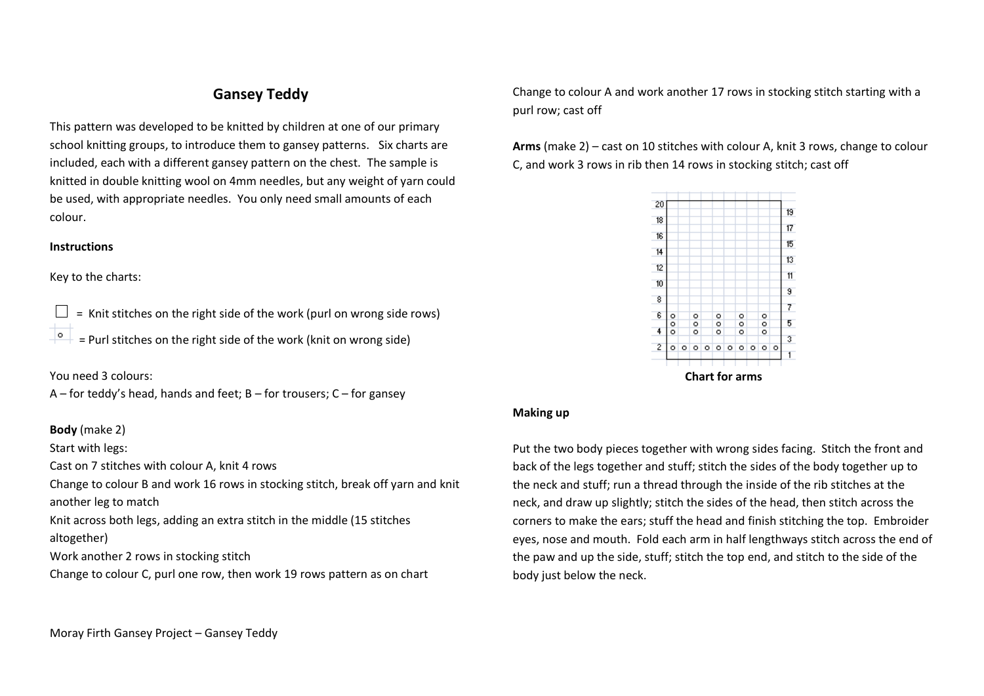## **Gansey Teddy**

This pattern was developed to be knitted by children at one of our primary school knitting groups, to introduce them to gansey patterns. Six charts are included, each with a different gansey pattern on the chest. The sample is knitted in double knitting wool on 4mm needles, but any weight of yarn could be used, with appropriate needles. You only need small amounts of each colour.

## **Instructions**

Key to the charts:

 = Knit stitches on the right side of the work (purl on wrong side rows) = Purl stitches on the right side of the work (knit on wrong side)

You need 3 colours:

 $A$  – for teddy's head, hands and feet; B – for trousers; C – for gansey

## **Body** (make 2)

Start with legs:

Cast on 7 stitches with colour A, knit 4 rows

Change to colour B and work 16 rows in stocking stitch, break off yarn and knit another leg to match

Knit across both legs, adding an extra stitch in the middle (15 stitches altogether)

Work another 2 rows in stocking stitch

Change to colour C, purl one row, then work 19 rows pattern as on chart

Change to colour A and work another 17 rows in stocking stitch starting with a purl row; cast off

**Arms** (make 2) – cast on 10 stitches with colour A, knit 3 rows, change to colour C, and work 3 rows in rib then 14 rows in stocking stitch; cast off



## **Making up**

Put the two body pieces together with wrong sides facing. Stitch the front and back of the legs together and stuff; stitch the sides of the body together up to the neck and stuff; run a thread through the inside of the rib stitches at the neck, and draw up slightly; stitch the sides of the head, then stitch across the corners to make the ears; stuff the head and finish stitching the top. Embroider eyes, nose and mouth. Fold each arm in half lengthways stitch across the end of the paw and up the side, stuff; stitch the top end, and stitch to the side of the body just below the neck.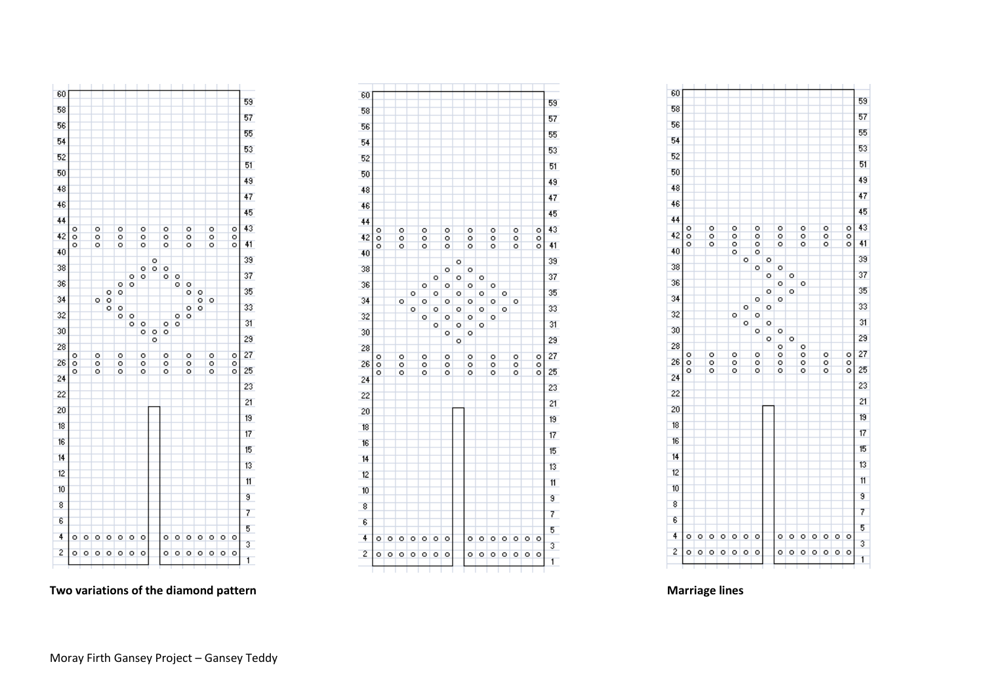